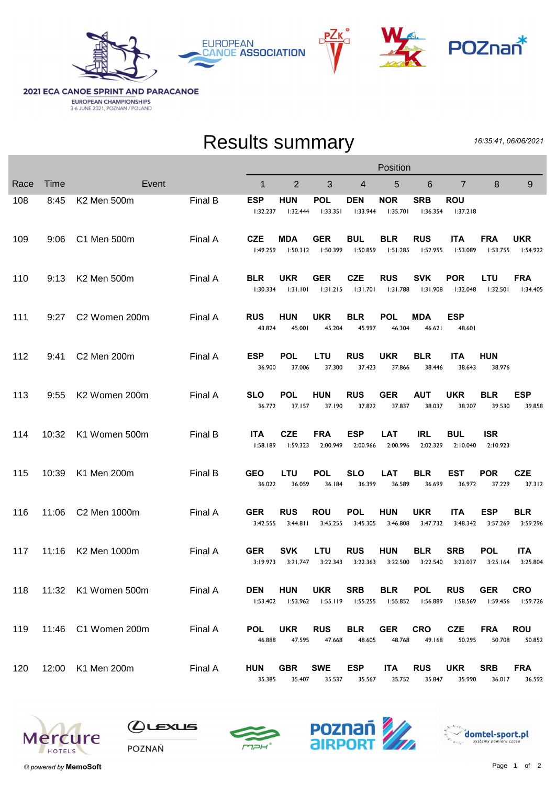



## **2021 ECA CANOE SPRINT AND PARACANOE EUROPEAN CHAMPIONSHIPS**<br>3-6 JUNE 2021, POZNAN / POLAND

## Results summary

16:35:41, 06/06/2021

|      |       |                         |         | Position               |                                         |                                     |                        |                        |                                 |                        |                        |                        |  |
|------|-------|-------------------------|---------|------------------------|-----------------------------------------|-------------------------------------|------------------------|------------------------|---------------------------------|------------------------|------------------------|------------------------|--|
| Race | Time  | Event                   |         | 1                      | $\overline{2}$                          | 3                                   | 4                      | 5                      | 6                               | $\overline{7}$         | 8                      | 9                      |  |
| 108  | 8:45  | K2 Men 500m             | Final B | <b>ESP</b><br>1:32.237 | <b>HUN</b><br>1:32.444                  | <b>POL</b><br>1:33.351              | <b>DEN</b><br>1:33.944 | <b>NOR</b><br>1:35.701 | <b>SRB</b><br>1:36.354          | <b>ROU</b><br>1:37.218 |                        |                        |  |
| 109  | 9:06  | C1 Men 500m             | Final A | <b>CZE</b><br>1:49.259 | <b>MDA</b>                              | <b>GER</b><br>$1:50.312$ $1:50.399$ | <b>BUL</b><br>1:50.859 | <b>BLR</b><br>1:51.285 | <b>RUS</b><br>l:52.955          | <b>ITA</b><br>1:53.089 | <b>FRA</b><br>1:53.755 | <b>UKR</b><br>1:54.922 |  |
| 110  | 9:13  | K2 Men 500m             | Final A | <b>BLR</b><br>1:30.334 | <b>UKR</b><br>1:31.101                  | <b>GER</b><br>1:31.215              | <b>CZE</b><br>1:31.701 | <b>RUS</b><br>1:31.788 | <b>SVK</b><br>1:31.908          | <b>POR</b><br>I:32.048 | <b>LTU</b><br>1:32.501 | <b>FRA</b><br>1:34.405 |  |
| 111  | 9:27  | C2 Women 200m           | Final A | <b>RUS</b><br>43.824   | <b>HUN</b><br>45.001                    | <b>UKR</b><br>45.204                | <b>BLR</b><br>45.997   | <b>POL</b><br>46.304   | <b>MDA</b><br>46.621            | <b>ESP</b><br>48.601   |                        |                        |  |
| 112  | 9:41  | C2 Men 200m             | Final A | <b>ESP</b><br>36.900   | <b>POL</b><br>37.006                    | LTU<br>37.300                       | <b>RUS</b><br>37.423   | <b>UKR</b><br>37.866   | <b>BLR</b><br>38.446            | <b>ITA</b><br>38.643   | <b>HUN</b><br>38.976   |                        |  |
| 113  | 9:55  | K2 Women 200m           | Final A | <b>SLO</b><br>36.772   | <b>POL</b><br>37.157                    | <b>HUN</b><br>37.190                | <b>RUS</b><br>37.822   | <b>GER</b><br>37.837   | <b>AUT</b><br>38.037            | <b>UKR</b><br>38.207   | <b>BLR</b><br>39.530   | <b>ESP</b><br>39.858   |  |
| 114  | 10:32 | K1 Women 500m           | Final B | <b>ITA</b><br>1:58.189 | <b>CZE</b><br>1:59.323                  | <b>FRA</b><br>2:00.949              | <b>ESP</b><br>2:00.966 | <b>LAT</b><br>2:00.996 | <b>IRL</b><br>2:02.329          | <b>BUL</b><br>2:10.040 | <b>ISR</b><br>2:10.923 |                        |  |
| 115  | 10:39 | K1 Men 200m             | Final B | <b>GEO</b><br>36.022   | LTU<br>36.059                           | <b>POL</b><br>36.184                | <b>SLO</b><br>36.399   | <b>LAT</b><br>36.589   | <b>BLR</b><br>36.699            | <b>EST</b><br>36.972   | <b>POR</b><br>37.229   | <b>CZE</b><br>37.312   |  |
| 116  | 11:06 | C2 Men 1000m            | Final A | <b>GER</b><br>3:42.555 | <b>RUS</b><br>3:44.811                  | <b>ROU</b><br>3:45.255              | <b>POL</b><br>3:45.305 | <b>HUN</b><br>3:46.808 | <b>UKR</b><br>3:47.732          | <b>ITA</b><br>3:48.342 | <b>ESP</b><br>3:57.269 | <b>BLR</b><br>3:59.296 |  |
| 117  | 11:16 | K2 Men 1000m            | Final A | <b>GER</b><br>3:19.973 | <b>SVK</b><br>3:21.747                  | <b>LTU</b><br>3:22.343              | <b>RUS</b><br>3:22.363 | <b>HUN</b><br>3:22.500 | <b>BLR</b><br>3:22.540          | <b>SRB</b><br>3:23.037 | <b>POL</b><br>3:25.164 | <b>ITA</b><br>3:25.804 |  |
|      |       | 118 11:32 K1 Women 500m | Final A | DEN                    | HUN<br>$1:53.402$ $1:53.962$ $1:55.119$ | <b>UKR</b>                          | <b>SRB</b><br>1:55.255 | <b>BLR</b>             | <b>POL</b><br>I:55.852 I:56.889 | <b>RUS</b><br>l:58.569 | <b>GER</b><br>1:59.456 | <b>CRO</b><br>1:59.726 |  |
| 119  |       | 11:46 C1 Women 200m     | Final A | <b>POL</b><br>46.888   | UKR<br>47.595                           | <b>RUS</b><br>47.668                | <b>BLR</b><br>48.605   | <b>GER</b><br>48.768   | <b>CRO</b><br>49.168            | <b>CZE</b><br>50.295   | <b>FRA</b><br>50.708   | <b>ROU</b><br>50.852   |  |
| 120  |       | 12:00 K1 Men 200m       | Final A | HUN<br>35.385          | <b>GBR</b><br>35.407                    | <b>SWE</b><br>35.537                | <b>ESP</b><br>35.567   | <b>ITA</b><br>35.752   | <b>RUS</b><br>35.847            | <b>UKR</b><br>35.990   | <b>SRB</b><br>36.017   | <b>FRA</b><br>36.592   |  |